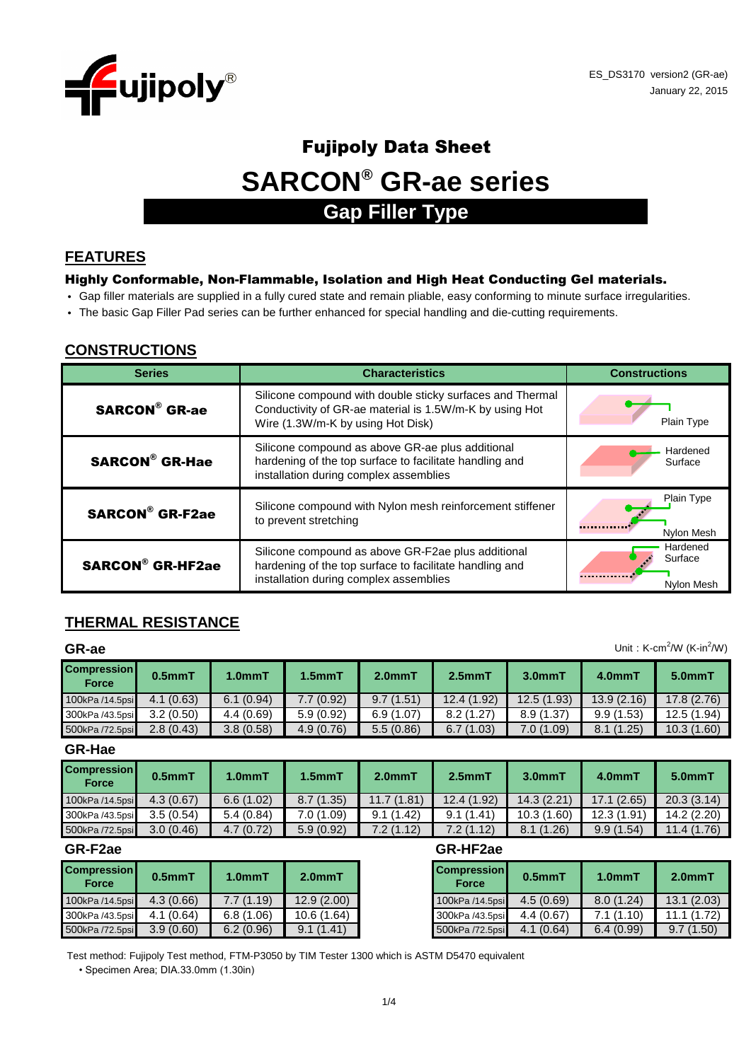

# **SARCON® GR-ae series** Fujipoly Data Sheet **Gap Filler Type**

#### **FEATURES**

#### Highly Conformable, Non-Flammable, Isolation and High Heat Conducting Gel materials.

- Gap filler materials are supplied in a fully cured state and remain pliable, easy conforming to minute surface irregularities.
- The basic Gap Filler Pad series can be further enhanced for special handling and die-cutting requirements.

#### **CONSTRUCTIONS**

| <b>Series</b>           | <b>Characteristics</b>                                                                                                                                    | <b>Constructions</b>              |
|-------------------------|-----------------------------------------------------------------------------------------------------------------------------------------------------------|-----------------------------------|
| <b>SARCON®</b> GR-ae    | Silicone compound with double sticky surfaces and Thermal<br>Conductivity of GR-ae material is 1.5W/m-K by using Hot<br>Wire (1.3W/m-K by using Hot Disk) | Plain Type                        |
| <b>SARCON® GR-Hae</b>   | Silicone compound as above GR-ae plus additional<br>hardening of the top surface to facilitate handling and<br>installation during complex assemblies     | Hardened<br>Surface               |
| <b>SARCON® GR-F2ae</b>  | Silicone compound with Nylon mesh reinforcement stiffener<br>to prevent stretching                                                                        | Plain Type<br>Nylon Mesh          |
| <b>SARCON® GR-HF2ae</b> | Silicone compound as above GR-F2ae plus additional<br>hardening of the top surface to facilitate handling and<br>installation during complex assemblies   | Hardened<br>Surface<br>Nylon Mesh |

### **THERMAL RESISTANCE**

| Unit: K-cm <sup>2</sup> /W (K-in <sup>2</sup> /W)<br>GR-ae |           |                     |              |           |             |            |            |             |  |
|------------------------------------------------------------|-----------|---------------------|--------------|-----------|-------------|------------|------------|-------------|--|
| <b>Compression</b><br>Force                                | $0.5mm$ T | 1.0 <sub>mm</sub> T | $1.5$ mm $T$ | $2.0mm$ T | $2.5mm$ T   | $3.0mm$ T  | 4.0mmT     | 5.0mmT      |  |
| 100kPa /14.5psi                                            | 4.1(0.63) | 6.1(0.94)           | 7.7(0.92)    | 9.7(1.51) | 12.4 (1.92) | 12.5(1.93) | 13.9(2.16) | 17.8(2.76)  |  |
| 300kPa /43.5psi                                            | 3.2(0.50) | 4.4(0.69)           | 5.9(0.92)    | 6.9(1.07) | 8.2(1.27)   | 8.9(1.37)  | 9.9(1.53)  | 12.5 (1.94) |  |
| 500kPa /72.5psi                                            | 2.8(0.43) | 3.8(0.58)           | 4.9(0.76)    | 5.5(0.86) | 6.7(1.03)   | 7.0(1.09)  | 8.1(1.25)  | 10.3(1.60)  |  |

**GR-Hae**

| <b>Compression</b><br>Force | $0.5mm$ T | 1.0 <sub>mm</sub> T | $1.5mm$ T  | 2.0 <sub>mm</sub> | 2.5 <sub>mm</sub> | 3.0 <sub>mm</sub> | 4.0mmT      | 5.0mmT      |
|-----------------------------|-----------|---------------------|------------|-------------------|-------------------|-------------------|-------------|-------------|
| 100kPa /14.5psi             | 4.3(0.67) | 6.6(1.02)           | 8.7(1.35)  | 11.7 (1.81)       | 12.4 (1.92)       | 14.3(2.21)        | 17.1(2.65)  | 20.3(3.14)  |
| 300kPa /43.5psi             | 3.5(0.54) | 5.4(0.84)           | 7.0 (1.09) | 9.1(1.42)         | 9.1(1.41)         | 10.3(1.60)        | 12.3 (1.91) | 14.2(2.20)  |
| 500kPa /72.5psi             | 3.0(0.46) | 4.7(0.72)           | 5.9(0.92)  | 7.2 (1.12)        | 7.2 (1.12)        | 8.1(1.26)         | 9.9(1.54)   | 11.4 (1.76) |

| <b>Compression</b><br><b>Force</b> | $0.5mm$ T | $1.0mm$ T | $2.0mm$ T   |
|------------------------------------|-----------|-----------|-------------|
| 100kPa /14.5psi                    | 4.3(0.66) | 7.7(1.19) | 12.9(2.00)  |
| 300kPa /43.5psi                    | 4.1(0.64) | 6.8(1.06) | 10.6 (1.64) |
| 500kPa /72.5psi                    | 3.9(0.60) | 6.2(0.96) | 9.1(1.41)   |

#### **GR-F2ae GR-HF2ae**

| 2.0 <sub>mm</sub> T | <b>Compression</b><br><b>Force</b> | $0.5$ mm $T$ | 1.0 <sub>mm</sub> T | $2.0mm$ T     |
|---------------------|------------------------------------|--------------|---------------------|---------------|
| 12.9 (2.00)         | 100kPa /14.5psi                    | 4.5(0.69)    | 8.0(1.24)           | 13.1(2.03)    |
| 10.6 (1.64)         | 300kPa /43.5psi                    | 4.4(0.67)    | 7.1(1.10)           | 11.1(1.72)    |
| 9.1(1.41)           | 500kPa /72.5psi                    | 4.1(0.64)    | 6.4(0.99)           | (1.50)<br>9.7 |

Test method: Fujipoly Test method, FTM-P3050 by TIM Tester 1300 which is ASTM D5470 equivalent

• Specimen Area; DIA.33.0mm (1.30in)

Unit:  $K$ -cm<sup>2</sup>  $'$ /W (K-in<sup>2</sup> /W)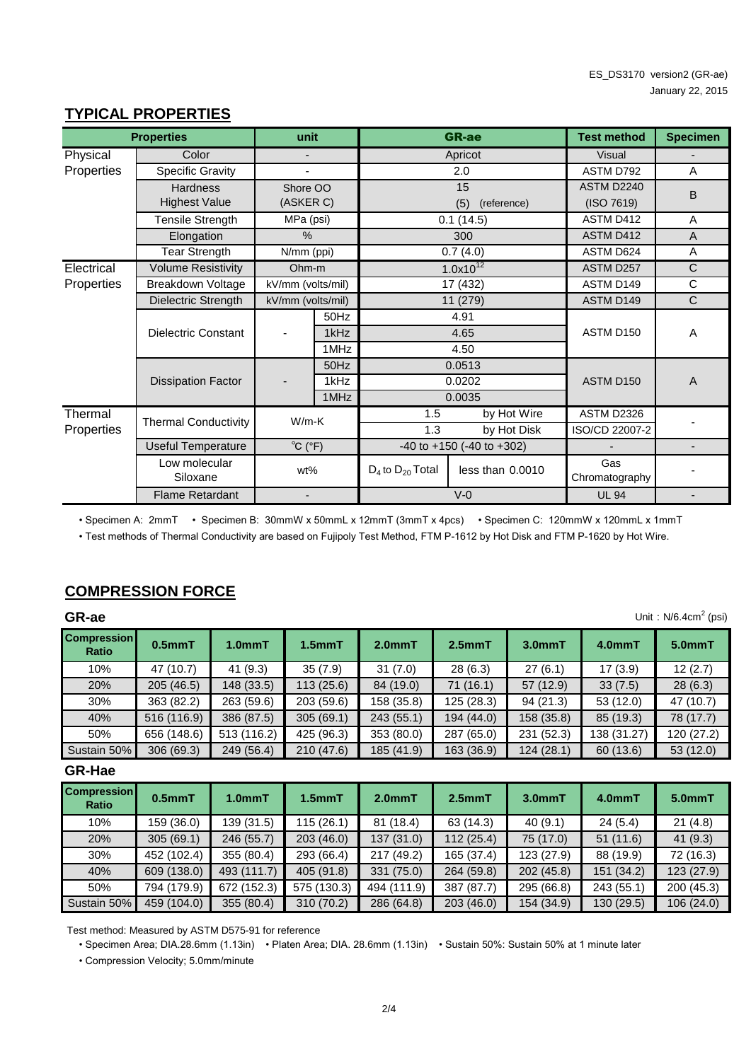#### 15 (5) (reference) Specific Gravity **2.0**  $\overline{0.1}$  (14.5) 300 Physical **Properties Hardness** Highest Value Tensile Strength MPa (psi) 0.1 (14.5) ASTM D412 ASTM D412 ASTM D624 Color Shore OO (ASKER C) MPa (psi) (ISO 7619) % ASTM D792 ASTM D2240 - Apricot Visual 11 (279) kV/mm (volts/mil) 17 (432) kV/mm (volts/mil) UL 94 Ohm-m N/mm (ppi) 0.7 (4.0) 1.0x10<sup>12</sup> ASTM D257 - 50Hz 1kHz 1MHz - 50Hz 1kHz 1MHz 4.91 4.65 4.50 0.0513 0.0202 0.0035 Low molecular Siloxane Useful Temperature  $D_4$  to  $D_{20}$  Total **Properties and Test method unit unit GR-ae Test method** A A ASTM D150 ASTM D150 - V-0 -40 to +150 (-40 to +302) **Thermal Properties** Dissipation Factor Flame Retardant by Hot Disk A A A ISO/CD 22007-2 ASTM D2326  $\overline{C}$  $\overline{\text{c}}$  $\overline{\mathrm{c}}$ ASTM D149 Dielectric Strength | kV/mm (volts/mil) | 11 (279) ASTM D149 Tear Strength Breakdown Voltage Thermal Conductivity Dielectric Constant **Elongation** Volume Resistivity  $^{\circ}$ C ( $^{\circ}$ F) wt% 1.3 W/m-K 1.5 by Hot Wire - **Specimen** A B - - - - **Electrical Properties** less than  $0.0010$  Gas Chromatography

#### **TYPICAL PROPERTIES**

• Specimen A: 2mmT • Specimen B: 30mmW x 50mmL x 12mmT (3mmT x 4pcs) • Specimen C: 120mmW x 120mmL x 1mmT

• Test methods of Thermal Conductivity are based on Fujipoly Test Method, FTM P-1612 by Hot Disk and FTM P-1620 by Hot Wire.

#### **COMPRESSION FORCE**

| Unit: $N/6.4cm2$ (psi)<br>GR-ae |             |                     |              |            |            |            |             |            |  |
|---------------------------------|-------------|---------------------|--------------|------------|------------|------------|-------------|------------|--|
| <b>Compression</b><br>Ratio     | $0.5mm$ T   | 1.0 <sub>mm</sub> T | $1.5$ mm $T$ | $2.0mm$ T  | $2.5mm$ T  | $3.0mm$ T  | 4.0mmT      | $5.0mm$ T  |  |
| 10%                             | 47 (10.7)   | 41(9.3)             | 35(7.9)      | 31(7.0)    | 28(6.3)    | 27(6.1)    | 17(3.9)     | 12(2.7)    |  |
| 20%                             | 205(46.5)   | 148 (33.5)          | 113(25.6)    | 84 (19.0)  | 71(16.1)   | 57 (12.9)  | 33(7.5)     | 28(6.3)    |  |
| 30%                             | 363 (82.2)  | 263 (59.6)          | 203 (59.6)   | 158 (35.8) | 125(28.3)  | 94(21.3)   | 53 (12.0)   | 47 (10.7)  |  |
| 40%                             | 516 (116.9) | 386 (87.5)          | 305(69.1)    | 243(55.1)  | 194 (44.0) | 158 (35.8) | 85 (19.3)   | 78 (17.7)  |  |
| 50%                             | 656 (148.6) | 513 (116.2)         | 425 (96.3)   | 353 (80.0) | 287 (65.0) | 231 (52.3) | 138 (31.27) | 120 (27.2) |  |
| Sustain 50%                     | 306(69.3)   | 249 (56.4)          | 210 (47.6)   | 185 (41.9) | 163 (36.9) | 124(28.1)  | 60 (13.6)   | 53 (12.0)  |  |

#### **GR-Hae**

| <b>Compression</b><br>Ratio | 0.5 <sub>mm</sub> T | 1.0 <sub>mm</sub> T | $1.5$ mm $T$ | 2.0 <sub>mm</sub> T | 2.5 <sub>mm</sub> T | $3.0mm$ T  | 4.0mmT     | $5.0mm$ T  |
|-----------------------------|---------------------|---------------------|--------------|---------------------|---------------------|------------|------------|------------|
| 10%                         | 159 (36.0)          | 139 (31.5)          | 115(26.1)    | 81 (18.4)           | 63 (14.3)           | 40(9.1)    | 24(5.4)    | 21(4.8)    |
| 20%                         | 305(69.1)           | 246 (55.7)          | 203(46.0)    | 137(31.0)           | 112(25.4)           | 75 (17.0)  | 51(11.6)   | 41(9.3)    |
| 30%                         | 452 (102.4)         | 355 (80.4)          | 293 (66.4)   | 217 (49.2)          | 165 (37.4)          | 123 (27.9) | 88 (19.9)  | 72 (16.3)  |
| 40%                         | 609 (138.0)         | 493 (111.7)         | 405 (91.8)   | 331 (75.0)          | 264 (59.8)          | 202(45.8)  | 151 (34.2) | 123 (27.9) |
| 50%                         | 794 (179.9)         | 672 (152.3)         | 575 (130.3)  | 494 (111.9)         | 387 (87.7)          | 295 (66.8) | 243 (55.1) | 200 (45.3) |
| Sustain 50%                 | 459 (104.0)         | 355 (80.4)          | 310 (70.2)   | 286 (64.8)          | 203(46.0)           | 154 (34.9) | 130 (29.5) | 106(24.0)  |

Test method: Measured by ASTM D575-91 for reference

• Specimen Area; DIA.28.6mm (1.13in) • Platen Area; DIA. 28.6mm (1.13in) • Sustain 50%: Sustain 50% at 1 minute later

• Compression Velocity; 5.0mm/minute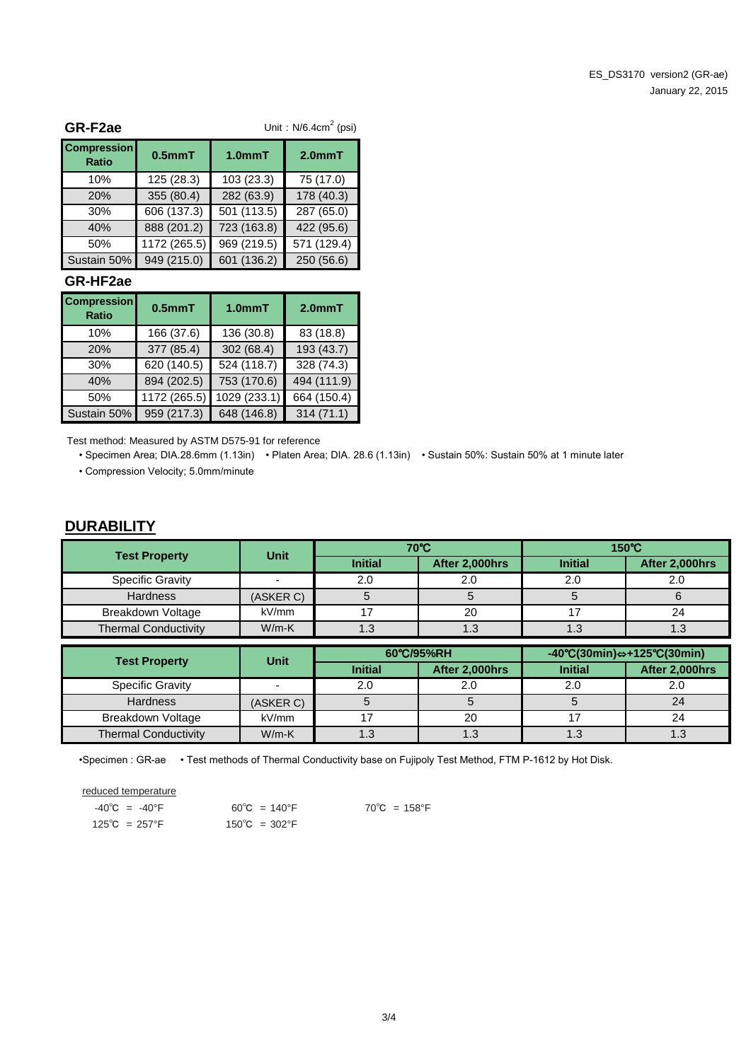| GR-F2ae                            | Unit: $N/6.4cm2$ (psi) |                     |                     |  |  |  |
|------------------------------------|------------------------|---------------------|---------------------|--|--|--|
| <b>Compression</b><br><b>Ratio</b> | $0.5mm$ T              | 1.0 <sub>mm</sub> T | 2.0 <sub>mm</sub> T |  |  |  |
| 10%                                | 125(28.3)              | 103 (23.3)          | 75 (17.0)           |  |  |  |
| 20%                                | 355 (80.4)             | 282 (63.9)          | 178 (40.3)          |  |  |  |
| 30%                                | 606 (137.3)            | 501 (113.5)         | 287 (65.0)          |  |  |  |
| 40%                                | 888 (201.2)            | 723 (163.8)         | 422 (95.6)          |  |  |  |
| 50%                                | 1172 (265.5)           | 969 (219.5)         | 571 (129.4)         |  |  |  |
| Sustain 50%                        | 949 (215.0)            | 601 (136.2)         | 250 (56.6)          |  |  |  |

#### **GR-HF2ae**

| <b>Compression</b><br><b>Ratio</b> | $0.5mm$ T    | 1.0 <sub>mm</sub> T | $2.0mm$ T   |
|------------------------------------|--------------|---------------------|-------------|
| 10%                                | 166 (37.6)   | 136 (30.8)          | 83 (18.8)   |
| 20%                                | 377 (85.4)   | 302 (68.4)          | 193 (43.7)  |
| 30%                                | 620 (140.5)  | 524 (118.7)         | 328 (74.3)  |
| 40%                                | 894 (202.5)  | 753 (170.6)         | 494 (111.9) |
| 50%                                | 1172 (265.5) | 1029 (233.1)        | 664 (150.4) |
| Sustain 50%                        | 959 (217.3)  | 648 (146.8)         | 314(71.1)   |

Test method: Measured by ASTM D575-91 for reference

• Specimen Area; DIA.28.6mm (1.13in) • Platen Area; DIA. 28.6 (1.13in) • Sustain 50%: Sustain 50% at 1 minute later • Compression Velocity; 5.0mm/minute

#### **DURABILITY**

| <b>Test Property</b>        | Unit      | 70°C           |                |                | $150^{\circ}$ C |  |  |
|-----------------------------|-----------|----------------|----------------|----------------|-----------------|--|--|
|                             |           | <b>Initial</b> | After 2,000hrs | <b>Initial</b> | After 2,000hrs  |  |  |
| <b>Specific Gravity</b>     |           | 2.0            | 2.0            | 2.0            | 2.0             |  |  |
| <b>Hardness</b>             | (ASKER C) |                |                |                |                 |  |  |
| Breakdown Voltage           | kV/mm     |                | 20             |                |                 |  |  |
| <b>Thermal Conductivity</b> | $W/m-K$   | 1.3            | 1 ว<br>ن. ا    | ົດ<br>ن. ا     | ں ، ا           |  |  |

| <b>Test Property</b>        | <b>Unit</b> | 60°C/95%RH     |                | $-40^{\circ}C(30\text{min}) \Leftrightarrow +125^{\circ}C(30\text{min})$ |                |  |
|-----------------------------|-------------|----------------|----------------|--------------------------------------------------------------------------|----------------|--|
|                             |             | <b>Initial</b> | After 2,000hrs | <b>Initial</b>                                                           | After 2,000hrs |  |
| <b>Specific Gravity</b>     |             | 2.0            | 2.0            |                                                                          | 2.0            |  |
| <b>Hardness</b>             | (ASKER C)   |                |                |                                                                          | 24             |  |
| Breakdown Voltage           | kV/mm       |                | 20             |                                                                          | 24             |  |
| <b>Thermal Conductivity</b> | $W/m-K$     | 1.3            | ົົ<br>د. ا     | ن. ا                                                                     | ن. ا           |  |

•Specimen : GR-ae • Test methods of Thermal Conductivity base on Fujipoly Test Method, FTM P-1612 by Hot Disk.

reduced temperature

| $-40^{\circ}$ C = $-40^{\circ}$ F | $60^{\circ}$ C = 140°F  | $70^{\circ}$ C = 158°F |
|-----------------------------------|-------------------------|------------------------|
| $125^{\circ}C = 257^{\circ}F$     | $150^{\circ}$ C = 302°F |                        |